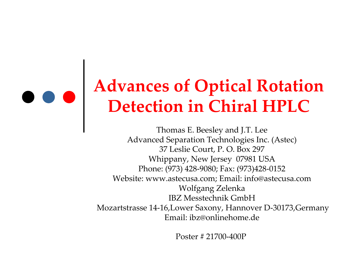### **Advances of Optical Rotation Detection in Chiral HPLC**

Thomas E. Beesley and J.T. Lee Advanced Separation Technologies Inc. (Astec) 37 Leslie Court, P. O. Box 297 Whippany, New Jersey 07981 USA Phone: (973) 428 ‐9080; Fax: (973)428 ‐0152 Website: www.astecusa.com; Email: info@astecusa.com Wolfgang Zelenka IBZ Messtechnik GmbHMozartstrasse 14 ‐16,Lower Saxony, Hannover D ‐30173,Germany Email: ibz@onlinehome.de

Poster # 21700‐400P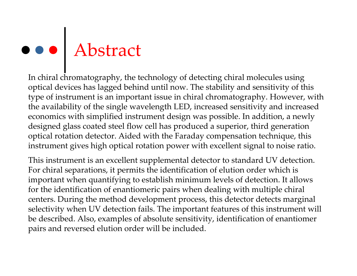# Abstract

In chiral chromatography, the technology of detecting chiral molecules using optical devices has lagged behind until now. The stability and sensitivity of this type of instrument is an important issue in chiral chromatography. However, with the availability of the single wavelength LED, increased sensitivity and increased economics with simplified instrument design was possible. In addition, <sup>a</sup> newly designed glass coated steel flow cell has produced <sup>a</sup> superior, third generation optical rotation detector. Aided with the Faraday compensation technique, this instrument gives high optical rotation power with excellent signal to noise ratio.

This instrument is an excellent supplemental detector to standard UV detection. For chiral separations, it permits the identification of elution order which is important when quantifying to establish minimum levels of detection. It allows for the identification of enantiomeric pairs when dealing with multiple chiral centers. During the method development process, this detector detects marginal selectivity when UV detection fails. The important features of this instrument will be described. Also, examples of absolute sensitivity, identification of enantiomer pairs and reversed elution order will be included.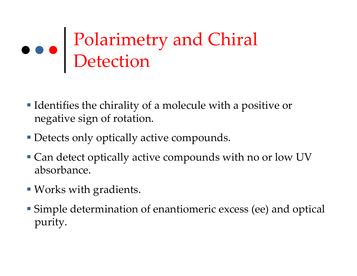## Polarimetry and Chiral Detection

- Identifies the chirality of <sup>a</sup> molecule with <sup>a</sup> positive or negative sign of rotation.
- Detects only optically active compounds.
- **Can detect optically active compounds with no or low UV** absorbance.
- Works with gradients.
- Simple determination of enantiomeric excess (ee) and optical purity.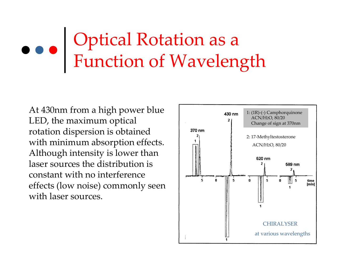## Optical Rotation as <sup>a</sup> Function of Wavelength

At 430nm from <sup>a</sup> high power blue LED, the maximum optical rotation dispersion is obtained with minimum absorption effects. Although intensity is lower than laser sources the distribution is constant with no interference effects (low noise) commonly seen with laser sources.

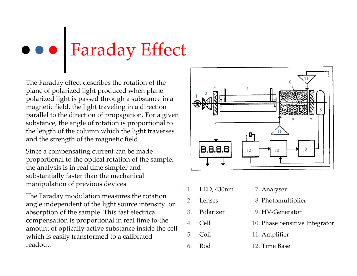## Faraday Effect

The Faraday effect describes the rotation of the plane of polarized light produced when plane polarized light is passed through <sup>a</sup> substance in <sup>a</sup> magnetic field, the light traveling in <sup>a</sup> direction parallel to the direction of propagation. For <sup>a</sup> given substance, the angle of rotation is proportional to the length of the column which the light traverses and the strength of the magnetic field.

Since a compensating current can be made proportional to the optical rotation of the sample, the analysis is in real time simpler and substantially faster than the mechanical manipulation of previous devices.

The Faraday modulation measures the rotation angle independent of the light source intensity or absorption of the sample. This fast electrical compensation is proportional in real time to the amount of optically active substance inside the cell which is easily transformed to <sup>a</sup> calibrated readout.



- 1.LED, 430nm 7. Analyser
- 2.Lenses
- 3.Polarizer
- 4.
- 5.
- 6.Rod
- 
- 8. Photomultiplier
- 9. HV‐Generator
- Cell 10. Phase Sensitive Integrator
	- Coil 11. Amplifier
		- 12. Time Base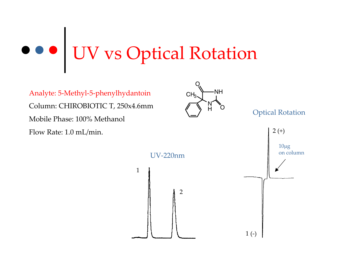## UV vs Optical Rotation

1

Analyte: 5-Methyl-5-phenylhydantoin CH<sub>2</sub> Column: CHIROBIOTIC T, 250x4.6mm Mobile Phase: 100% Methanol Flow Rate: 1.0 mL/min.



Optical Rotation

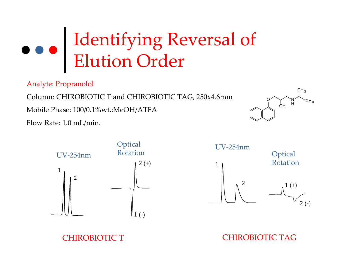## Identifying Reversal of Elution Order

Analyte: Propranolol

Column: CHIROBIOTIC T and CHIROBIOTIC TAG, 250x4.6mm

Mobile Phase: 100/0.1%wt.:MeOH/ATFA

Flow Rate: 1.0 mL/min.







CHIROBIOTIC TAG

CHIROBIOTIC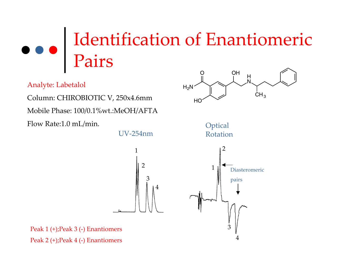#### Identification of Enantiomeric Pairs O**OH**

Analyte: Labetalol

Column: CHIROBIOTIC V, 250x4.6mm

Mobile Phase: 100/0.1%wt.:MeOH/AFTA

Flow Rate:1.0 mL/min.

 $H_2N$ **HC**  $CH<sub>3</sub>$ 1234UV‐254nm12Diasteromericpairs **Optical** Rotation

 $\mathbb{H}$  – H

3

4

N

Peak 1 (+);Peak 3 (‐) Enantiomers Peak 2 (+);Peak 4 (‐) Enantiomers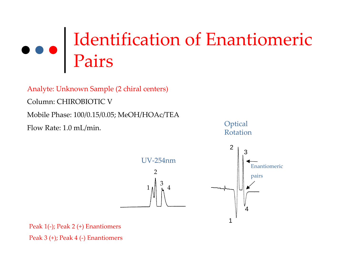## Identification of Enantiomeric Pairs

Analyte: Unknown Sample (2 chiral centers)

Column: CHIROBIOTIC V

Mobile Phase: 100/0.15/0.05; MeOH/HOAc/TEA

Flow Rate: 1.0 mL/min.





Peak 1(‐); Peak 2 (+) Enantiomers Peak 3 (+); Peak 4 (‐) Enantiomers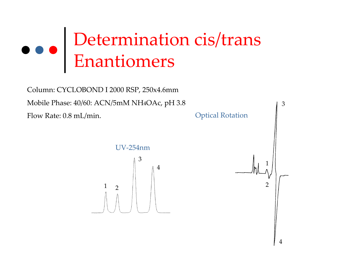## Determination cis/trans Enantiomers

Column: CYCLOBOND I 2000 RSP, 250x4.6mm Mobile Phase: 40/60: ACN/5mM NH 4OAc, p<sup>H</sup> 3.8 Flow Rate: 0.8 mL/min.



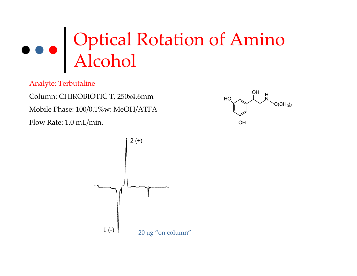## Optical Rotation of Amino Alcohol

Analyte: Terbutaline

Column: CHIROBIOTIC T, 250x4.6mm Mobile Phase: 100/0.1%w: MeOH/ATFA Flow Rate: 1.0 mL/min.



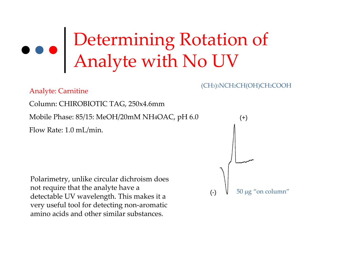## Determining Rotation of Analyte with No UV

Analyte: Carnitine Column: CHIROBIOTIC TAG, 250x4.6mm Mobile Phase: 85/15: MeOH/20mM NH4OAC, p<sup>H</sup> 6.0 Flow Rate: 1.0 mL/min.

Polarimetry, unlike circular dichroism does not require that the analyte have <sup>a</sup> detectable UV wavelength. This makes it <sup>a</sup> very useful tool for detecting non‐aromatic amino acids and other similar substances.

## 50 <sup>μ</sup>g "on column" (+) (-)

(CH3)3NCH2CH(OH)CH2COOH